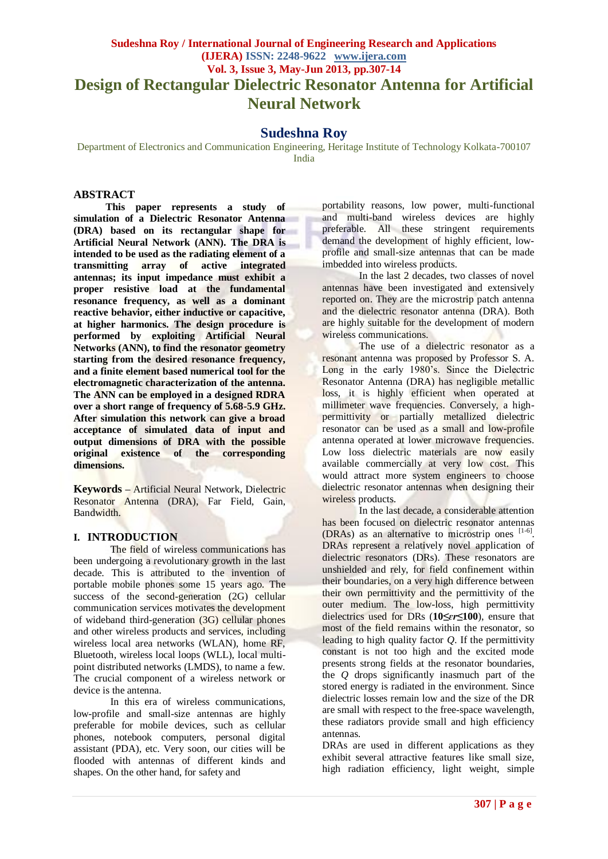# **Sudeshna Roy / International Journal of Engineering Research and Applications (IJERA) ISSN: 2248-9622 www.ijera.com Vol. 3, Issue 3, May-Jun 2013, pp.307-14 Design of Rectangular Dielectric Resonator Antenna for Artificial Neural Network**

## **Sudeshna Roy**

Department of Electronics and Communication Engineering, Heritage Institute of Technology Kolkata-700107 India

#### **ABSTRACT**

**This paper represents a study of simulation of a Dielectric Resonator Antenna (DRA) based on its rectangular shape for Artificial Neural Network (ANN). The DRA is intended to be used as the radiating element of a transmitting array of active integrated antennas; its input impedance must exhibit a proper resistive load at the fundamental resonance frequency, as well as a dominant reactive behavior, either inductive or capacitive, at higher harmonics. The design procedure is performed by exploiting Artificial Neural Networks (ANN), to find the resonator geometry starting from the desired resonance frequency, and a finite element based numerical tool for the electromagnetic characterization of the antenna. The ANN can be employed in a designed RDRA over a short range of frequency of 5.68-5.9 GHz. After simulation this network can give a broad acceptance of simulated data of input and output dimensions of DRA with the possible original existence of the corresponding dimensions.**

**Keywords –** Artificial Neural Network, Dielectric Resonator Antenna (DRA), Far Field, Gain, Bandwidth.

#### **I. INTRODUCTION**

The field of wireless communications has been undergoing a revolutionary growth in the last decade. This is attributed to the invention of portable mobile phones some 15 years ago. The success of the second-generation (2G) cellular communication services motivates the development of wideband third-generation (3G) cellular phones and other wireless products and services, including wireless local area networks (WLAN), home RF, Bluetooth, wireless local loops (WLL), local multipoint distributed networks (LMDS), to name a few. The crucial component of a wireless network or device is the antenna.

In this era of wireless communications, low-profile and small-size antennas are highly preferable for mobile devices, such as cellular phones, notebook computers, personal digital assistant (PDA), etc. Very soon, our cities will be flooded with antennas of different kinds and shapes. On the other hand, for safety and

portability reasons, low power, multi-functional and multi-band wireless devices are highly preferable. All these stringent requirements demand the development of highly efficient, lowprofile and small-size antennas that can be made imbedded into wireless products.

In the last 2 decades, two classes of novel antennas have been investigated and extensively reported on. They are the microstrip patch antenna and the dielectric resonator antenna (DRA). Both are highly suitable for the development of modern wireless communications.

The use of a dielectric resonator as a resonant antenna was proposed by Professor S. A. Long in the early 1980's. Since the Dielectric Resonator Antenna (DRA) has negligible metallic loss, it is highly efficient when operated at millimeter wave frequencies. Conversely, a highpermittivity or partially metallized dielectric resonator can be used as a small and low-profile antenna operated at lower microwave frequencies. Low loss dielectric materials are now easily available commercially at very low cost. This would attract more system engineers to choose dielectric resonator antennas when designing their wireless products.

In the last decade, a considerable attention has been focused on dielectric resonator antennas  $(DRAs)$  as an alternative to microstrip ones  $[1-6]$ . DRAs represent a relatively novel application of dielectric resonators (DRs). These resonators are unshielded and rely, for field confinement within their boundaries, on a very high difference between their own permittivity and the permittivity of the outer medium. The low-loss, high permittivity dielectrics used for DRs (**10***≤ɛr≤***100**), ensure that most of the field remains within the resonator, so leading to high quality factor *Q*. If the permittivity constant is not too high and the excited mode presents strong fields at the resonator boundaries, the *Q* drops significantly inasmuch part of the stored energy is radiated in the environment. Since dielectric losses remain low and the size of the DR are small with respect to the free-space wavelength, these radiators provide small and high efficiency antennas.

DRAs are used in different applications as they exhibit several attractive features like small size, high radiation efficiency, light weight, simple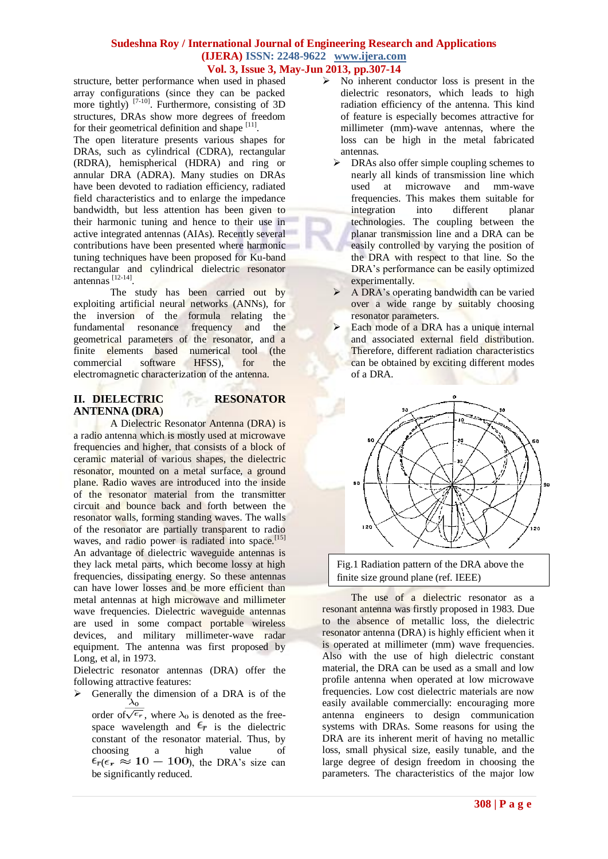structure, better performance when used in phased array configurations (since they can be packed more tightly)  $^{[7-10]}$ . Furthermore, consisting of 3D structures, DRAs show more degrees of freedom for their geometrical definition and shape [11].

The open literature presents various shapes for DRAs, such as cylindrical (CDRA), rectangular (RDRA), hemispherical (HDRA) and ring or annular DRA (ADRA). Many studies on DRAs have been devoted to radiation efficiency, radiated field characteristics and to enlarge the impedance bandwidth, but less attention has been given to their harmonic tuning and hence to their use in active integrated antennas (AIAs). Recently several contributions have been presented where harmonic tuning techniques have been proposed for Ku-band rectangular and cylindrical dielectric resonator antennas [12-14] .

The study has been carried out by exploiting artificial neural networks (ANNs), for the inversion of the formula relating the fundamental resonance frequency and the geometrical parameters of the resonator, and a finite elements based numerical tool (the commercial software HFSS), for the electromagnetic characterization of the antenna.

#### **II. DIELECTRIC RESONATOR ANTENNA (DRA**)

A Dielectric Resonator Antenna (DRA) is a radio antenna which is mostly used at [microwave](http://en.wikipedia.org/wiki/Microwave) frequencies and higher, that consists of a block of [ceramic](http://en.wikipedia.org/wiki/Ceramic) material of various shapes, the [dielectric](http://en.wikipedia.org/wiki/Dielectric_resonator)  [resonator,](http://en.wikipedia.org/wiki/Dielectric_resonator) mounted on a metal surface, a [ground](http://en.wikipedia.org/wiki/Ground_plane)  [plane.](http://en.wikipedia.org/wiki/Ground_plane) Radio waves are introduced into the inside of the resonator material from the [transmitter](http://en.wikipedia.org/wiki/Transmitter) circuit and bounce back and forth between the resonator walls, forming [standing waves.](http://en.wikipedia.org/wiki/Standing_waves) The walls of the resonator are partially transparent to radio waves, and radio power is radiated into space.<sup>[\[15\]](http://en.wikipedia.org/wiki/Dielectric_Resonator_Antenna#cite_note-Huang-0)</sup> An advantage of dielectric waveguide antennas is they lack metal parts, which become lossy at high frequencies, dissipating energy. So these antennas can have lower losses and be more efficient than metal antennas at high microwave and [millimeter](http://en.wikipedia.org/wiki/Millimeter_wave)  [wave](http://en.wikipedia.org/wiki/Millimeter_wave) frequencies. Dielectric waveguide antennas are used in some compact portable wireless devices, and military millimeter-wave radar equipment. The antenna was first proposed by Long, et al, in 1973.

Dielectric resonator antennas (DRA) offer the following attractive features:

 $\triangleright$  Generally the dimension of a DRA is of the

order of  $\sqrt{\epsilon_r}$ , where  $\lambda_0$  is denoted as the freespace wavelength and  $\epsilon_r$  is the dielectric [constant](http://en.wikipedia.org/wiki/Relative_static_permittivity) of the resonator material. Thus, by choosing a high value of  $(\epsilon_r \approx 10 - 100)$ , the DRA's size can be significantly reduced.

- $\triangleright$  No inherent conductor loss is present in the dielectric resonators, which leads to high radiation efficiency of the antenna. This kind of feature is especially becomes attractive for millimeter (mm)-wave antennas, where the loss can be high in the metal fabricated antennas.
	- $\triangleright$  DRAs also offer simple coupling schemes to nearly all kinds of transmission line which used at microwave and mm-wave frequencies. This makes them suitable for integration into different planar technologies. The coupling between the planar transmission line and a DRA can be easily controlled by varying the position of the DRA with respect to that line. So the DRA"s performance can be easily optimized experimentally.
	- $\triangleright$  A DRA's operating bandwidth can be varied over a wide range by suitably choosing resonator parameters.
	- > Each mode of a DRA has a unique internal and associated external field distribution. Therefore, different radiation characteristics can be obtained by exciting different modes of a DRA.



Fig.1 Radiation pattern of the DRA above the finite size ground plane (ref. IEEE)

The use of a dielectric resonator as a resonant antenna was firstly proposed in 1983. Due to the absence of metallic loss, the dielectric resonator antenna (DRA) is highly efficient when it is operated at millimeter (mm) wave frequencies. Also with the use of high dielectric constant material, the DRA can be used as a small and low profile antenna when operated at low microwave frequencies. Low cost dielectric materials are now easily available commercially: encouraging more antenna engineers to design communication systems with DRAs. Some reasons for using the DRA are its inherent merit of having no metallic loss, small physical size, easily tunable, and the large degree of design freedom in choosing the parameters. The characteristics of the major low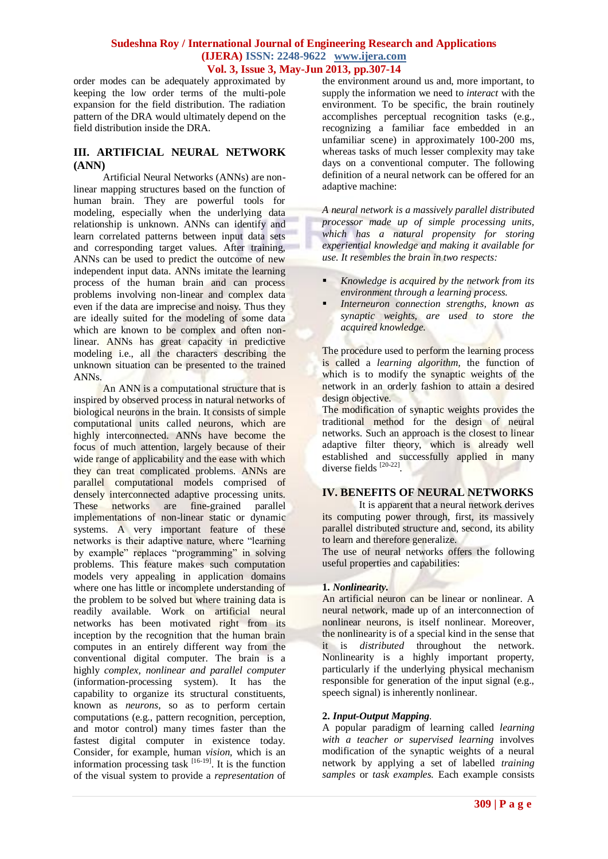order modes can be adequately approximated by keeping the low order terms of the multi-pole expansion for the field distribution. The radiation pattern of the DRA would ultimately depend on the field distribution inside the DRA.

#### **III. ARTIFICIAL NEURAL NETWORK (ANN)**

Artificial Neural Networks (ANNs) are nonlinear mapping structures based on the function of human brain. They are powerful tools for modeling, especially when the underlying data relationship is unknown. ANNs can identify and learn correlated patterns between input data sets and corresponding target values. After training, ANNs can be used to predict the outcome of new independent input data. ANNs imitate the learning process of the human brain and can process problems involving non-linear and complex data even if the data are imprecise and noisy. Thus they are ideally suited for the modeling of some data which are known to be complex and often nonlinear. ANNs has great capacity in predictive modeling i.e., all the characters describing the unknown situation can be presented to the trained ANNs.

An ANN is a computational structure that is inspired by observed process in natural networks of biological neurons in the brain. It consists of simple computational units called neurons, which are highly interconnected. ANNs have become the focus of much attention, largely because of their wide range of applicability and the ease with which they can treat complicated problems. ANNs are parallel computational models comprised of densely interconnected adaptive processing units. These networks are fine-grained parallel implementations of non-linear static or dynamic systems. A very important feature of these networks is their adaptive nature, where "learning by example" replaces "programming" in solving problems. This feature makes such computation models very appealing in application domains where one has little or incomplete understanding of the problem to be solved but where training data is readily available. Work on artificial neural networks has been motivated right from its inception by the recognition that the human brain computes in an entirely different way from the conventional digital computer. The brain is a highly *complex, nonlinear and parallel computer*  (information-processing system). It has the capability to organize its structural constituents, known as *neurons,* so as to perform certain computations (e.g., pattern recognition, perception, and motor control) many times faster than the fastest digital computer in existence today. Consider, for example, human *vision,* which is an information processing task  $[16-19]$ . It is the function of the visual system to provide a *representation* of

the environment around us and, more important, to supply the information we need to *interact* with the environment. To be specific, the brain routinely accomplishes perceptual recognition tasks (e.g., recognizing a familiar face embedded in an unfamiliar scene) in approximately 100-200 ms, whereas tasks of much lesser complexity may take days on a conventional computer. The following definition of a neural network can be offered for an adaptive machine:

*A neural network is a massively parallel distributed processor made up of simple processing units, which has a natural propensity for storing experiential knowledge and making it available for use. It resembles the brain in two respects:*

- *Knowledge is acquired by the network from its environment through a learning process.*
- *Interneuron connection strengths, known as synaptic weights, are used to store the acquired knowledge.*

The procedure used to perform the learning process is called a *learning algorithm,* the function of which is to modify the synaptic weights of the network in an orderly fashion to attain a desired design objective.

The modification of synaptic weights provides the traditional method for the design of neural networks. Such an approach is the closest to linear adaptive filter theory, which is already well established and successfully applied in many diverse fields [20-22].

#### **IV. BENEFITS OF NEURAL NETWORKS**

It is apparent that a neural network derives its computing power through, first, its massively parallel distributed structure and, second, its ability to learn and therefore generalize.

The use of neural networks offers the following useful properties and capabilities:

#### **1.** *Nonlinearity.*

An artificial neuron can be linear or nonlinear. A neural network, made up of an interconnection of nonlinear neurons, is itself nonlinear. Moreover, the nonlinearity is of a special kind in the sense that it is *distributed* throughout the network. Nonlinearity is a highly important property, particularly if the underlying physical mechanism responsible for generation of the input signal (e.g., speech signal) is inherently nonlinear.

#### **2.** *Input-Output Mapping.*

A popular paradigm of learning called *learning with a teacher or supervised learning* involves modification of the synaptic weights of a neural network by applying a set of labelled *training samples* or *task examples.* Each example consists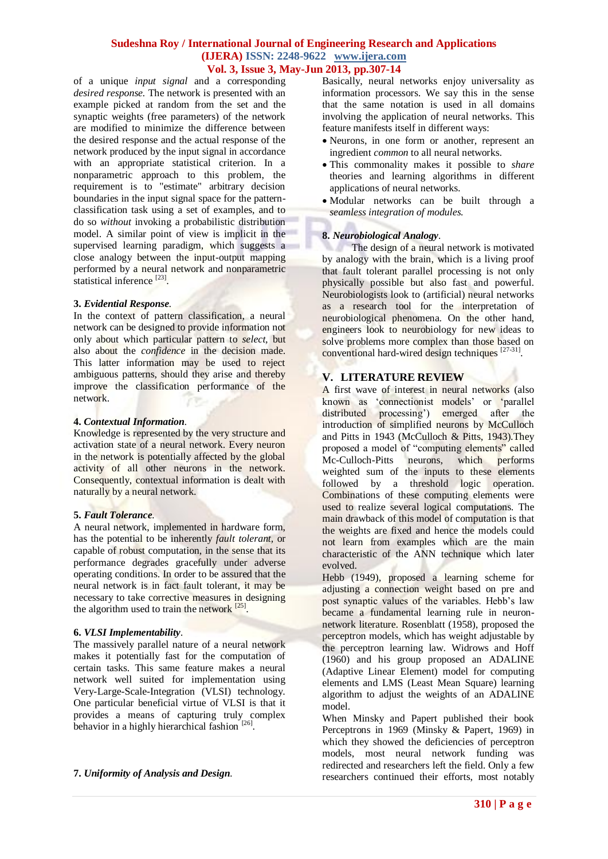of a unique *input signal* and a corresponding *desired response.* The network is presented with an example picked at random from the set and the synaptic weights (free parameters) of the network are modified to minimize the difference between the desired response and the actual response of the network produced by the input signal in accordance with an appropriate statistical criterion. In a nonparametric approach to this problem, the requirement is to "estimate" arbitrary decision boundaries in the input signal space for the patternclassification task using a set of examples, and to do so *without* invoking a probabilistic distribution model. A similar point of view is implicit in the supervised learning paradigm, which suggests a close analogy between the input-output mapping performed by a neural network and nonparametric statistical inference<sup>[23]</sup>.

#### **3.** *Evidential Response.*

In the context of pattern classification, a neural network can be designed to provide information not only about which particular pattern to *select,* but also about the *confidence* in the decision made. This latter information may be used to reject ambiguous patterns, should they arise and thereby improve the classification performance of the network.

#### **4.** *Contextual Information.*

Knowledge is represented by the very structure and activation state of a neural network. Every neuron in the network is potentially affected by the global activity of all other neurons in the network. Consequently, contextual information is dealt with naturally by a neural network.

#### **5.** *Fault Tolerance.*

A neural network, implemented in hardware form, has the potential to be inherently *fault tolerant,* or capable of robust computation, in the sense that its performance degrades gracefully under adverse operating conditions. In order to be assured that the neural network is in fact fault tolerant, it may be necessary to take corrective measures in designing the algorithm used to train the network <sup>[25]</sup>.

#### **6.** *VLSI Implementability.*

The massively parallel nature of a neural network makes it potentially fast for the computation of certain tasks. This same feature makes a neural network well suited for implementation using Very-Large-Scale-Integration (VLSI) technology. One particular beneficial virtue of VLSI is that it provides a means of capturing truly complex behavior in a highly hierarchical fashion [26].

Basically, neural networks enjoy universality as information processors. We say this in the sense that the same notation is used in all domains involving the application of neural networks. This feature manifests itself in different ways:

- Neurons, in one form or another, represent an ingredient *common* to all neural networks.
- This commonality makes it possible to *share*  theories and learning algorithms in different applications of neural networks.
- Modular networks can be built through a *seamless integration of modules.*

#### **8.** *Neurobiological Analogy.*

The design of a neural network is motivated by analogy with the brain, which is a living proof that fault tolerant parallel processing is not only physically possible but also fast and powerful. Neurobiologists look to (artificial) neural networks as a research tool for the interpretation of neurobiological phenomena. On the other hand, engineers look to neurobiology for new ideas to solve problems more complex than those based on conventional hard-wired design techniques<sup>[27-31]</sup>.

### **V. LITERATURE REVIEW**

A first wave of interest in neural networks (also known as 'connectionist models' or 'parallel distributed processing') emerged after the introduction of simplified neurons by McCulloch and Pitts in 1943 (McCulloch & Pitts, 1943).They proposed a model of "computing elements" called Mc-Culloch-Pitts neurons, which performs weighted sum of the inputs to these elements followed by a threshold logic operation. Combinations of these computing elements were used to realize several logical computations. The main drawback of this model of computation is that the weights are fixed and hence the models could not learn from examples which are the main characteristic of the ANN technique which later evolved.

Hebb (1949), proposed a learning scheme for adjusting a connection weight based on pre and post synaptic values of the variables. Hebb's law became a fundamental learning rule in neuronnetwork literature. Rosenblatt (1958), proposed the perceptron models, which has weight adjustable by the perceptron learning law. Widrows and Hoff (1960) and his group proposed an ADALINE (Adaptive Linear Element) model for computing elements and LMS (Least Mean Square) learning algorithm to adjust the weights of an ADALINE model.

When Minsky and Papert published their book Perceptrons in 1969 (Minsky & Papert, 1969) in which they showed the deficiencies of perceptron models, most neural network funding was redirected and researchers left the field. Only a few researchers continued their efforts, most notably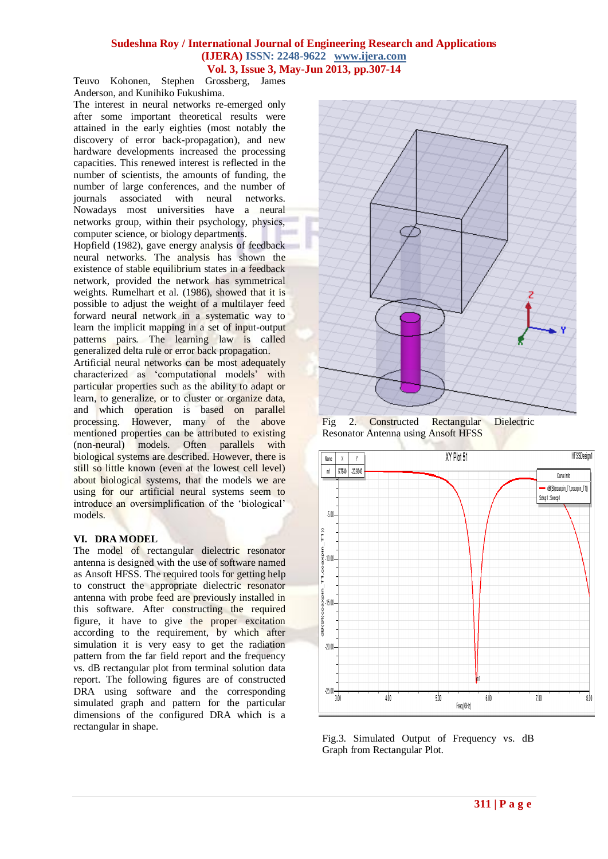Teuvo Kohonen, Stephen Grossberg, James Anderson, and Kunihiko Fukushima.

The interest in neural networks re-emerged only after some important theoretical results were attained in the early eighties (most notably the discovery of error back-propagation), and new hardware developments increased the processing capacities. This renewed interest is reflected in the number of scientists, the amounts of funding, the number of large conferences, and the number of journals associated with neural networks. Nowadays most universities have a neural networks group, within their psychology, physics, computer science, or biology departments.

Hopfield (1982), gave energy analysis of feedback neural networks. The analysis has shown the existence of stable equilibrium states in a feedback network, provided the network has symmetrical weights. Rumelhart et al. (1986), showed that it is possible to adjust the weight of a multilayer feed forward neural network in a systematic way to learn the implicit mapping in a set of input-output patterns pairs. The learning law is called generalized delta rule or error back propagation.

Artificial neural networks can be most adequately characterized as "computational models" with particular properties such as the ability to adapt or learn, to generalize, or to cluster or organize data, and which operation is based on parallel processing. However, many of the above mentioned properties can be attributed to existing (non-neural) models. Often parallels with biological systems are described. However, there is still so little known (even at the lowest cell level) about biological systems, that the models we are using for our artificial neural systems seem to introduce an oversimplification of the 'biological' models.

#### **VI. DRA MODEL**

The model of rectangular dielectric resonator antenna is designed with the use of software named as Ansoft HFSS. The required tools for getting help to construct the appropriate dielectric resonator antenna with probe feed are previously installed in this software. After constructing the required figure, it have to give the proper excitation according to the requirement, by which after simulation it is very easy to get the radiation pattern from the far field report and the frequency vs. dB rectangular plot from terminal solution data report. The following figures are of constructed DRA using software and the corresponding simulated graph and pattern for the particular dimensions of the configured DRA which is a rectangular in shape.



Fig 2. Constructed Rectangular Dielectric Resonator Antenna using Ansoft HFSS



Fig.3. Simulated Output of Frequency vs. dB Graph from Rectangular Plot.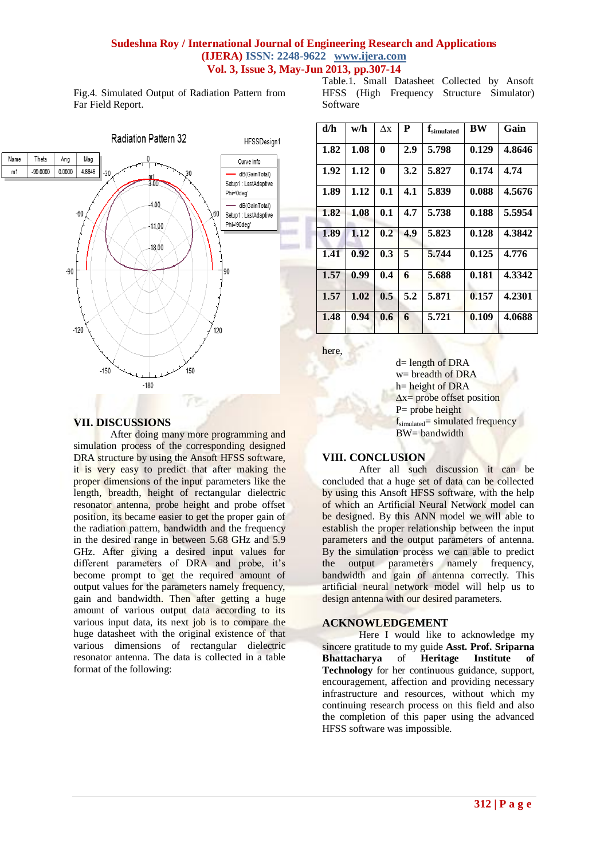Fig.4. Simulated Output of Radiation Pattern from Far Field Report.



Table.1. Small Datasheet Collected by Ansoft HFSS (High Frequency Structure Simulator) Software

| d/h  | w/h  | $\Lambda$ x | P   | $\mathbf{f}_{simulated}$ | BW    | Gain   |
|------|------|-------------|-----|--------------------------|-------|--------|
| 1.82 | 1.08 | $\bf{0}$    | 2.9 | 5.798                    | 0.129 | 4.8646 |
| 1.92 | 1.12 | 0           | 3.2 | 5.827                    | 0.174 | 4.74   |
| 1.89 | 1.12 | 0.1         | 4.1 | 5.839                    | 0.088 | 4.5676 |
| 1.82 | 1.08 | 0.1         | 4.7 | 5.738                    | 0.188 | 5.5954 |
| 1.89 | 1.12 | 0.2         | 4.9 | 5.823                    | 0.128 | 4.3842 |
| 1.41 | 0.92 | 0.3         | 5   | 5.744                    | 0.125 | 4.776  |
| 1.57 | 0.99 | 0.4         | 6   | 5.688                    | 0.181 | 4.3342 |
| 1.57 | 1.02 | 0.5         | 5.2 | 5.871                    | 0.157 | 4.2301 |
| 1.48 | 0.94 | 0.6         | 6   | 5.721                    | 0.109 | 4.0688 |

here

d= length of DRA w= breadth of DRA h= height of DRA ∆x= probe offset position  $P=$  probe height fsimulated= simulated frequency BW= bandwidth

#### **VIII. CONCLUSION**

After all such discussion it can be concluded that a huge set of data can be collected by using this Ansoft HFSS software, with the help of which an Artificial Neural Network model can be designed. By this ANN model we will able to establish the proper relationship between the input parameters and the output parameters of antenna. By the simulation process we can able to predict the output parameters namely frequency, bandwidth and gain of antenna correctly. This artificial neural network model will help us to design antenna with our desired parameters.

#### **ACKNOWLEDGEMENT**

Here I would like to acknowledge my sincere gratitude to my guide **Asst. Prof. Sriparna Bhattacharya** of **Heritage Institute of Technology** for her continuous guidance, support, encouragement, affection and providing necessary infrastructure and resources, without which my continuing research process on this field and also the completion of this paper using the advanced HFSS software was impossible.

#### **VII. DISCUSSIONS**

After doing many more programming and simulation process of the corresponding designed DRA structure by using the Ansoft HFSS software, it is very easy to predict that after making the proper dimensions of the input parameters like the length, breadth, height of rectangular dielectric resonator antenna, probe height and probe offset position, its became easier to get the proper gain of the radiation pattern, bandwidth and the frequency in the desired range in between 5.68 GHz and 5.9 GHz. After giving a desired input values for different parameters of DRA and probe, it's become prompt to get the required amount of output values for the parameters namely frequency, gain and bandwidth. Then after getting a huge amount of various output data according to its various input data, its next job is to compare the huge datasheet with the original existence of that various dimensions of rectangular dielectric resonator antenna. The data is collected in a table format of the following: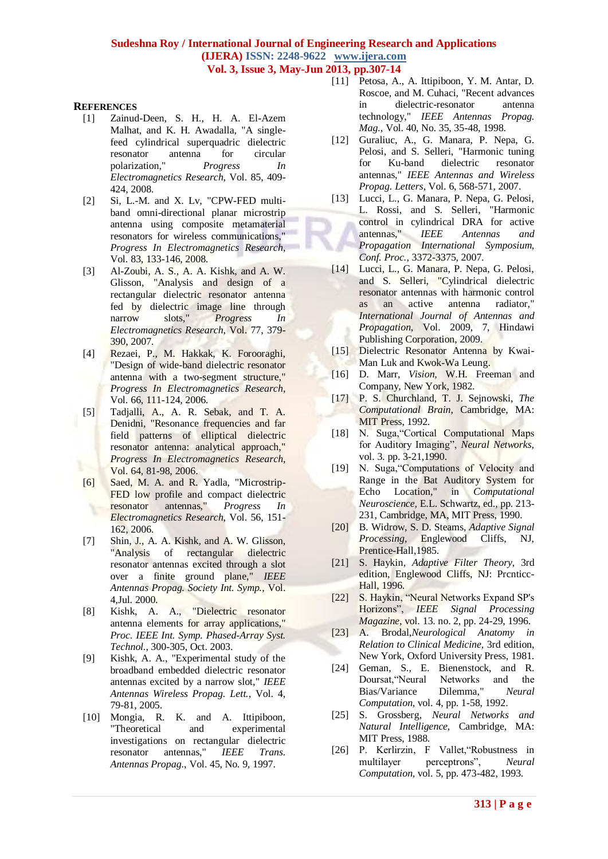# **Sudeshna Roy / International Journal of Engineering Research and Applications (IJERA) ISSN: 2248-9622 www.ijera.com**

**Vol. 3, Issue 3, May-Jun 2013, pp.307-14**

#### **REFERENCES**

- [1] Zainud-Deen, S. H., H. A. El-Azem Malhat, and K. H. Awadalla, "A singlefeed cylindrical superquadric dielectric resonator antenna for circular polarization," *Progress In Electromagnetics Research*, Vol. 85, 409- 424, 2008.
- [2] Si, L.-M. and X. Lv, "CPW-FED multiband omni-directional planar microstrip antenna using composite metamaterial resonators for wireless communications," *Progress In Electromagnetics Research*, Vol. 83, 133-146, 2008.
- [3] Al-Zoubi, A. S., A. A. Kishk, and A. W. Glisson, "Analysis and design of a rectangular dielectric resonator antenna fed by dielectric image line through narrow slots," *Progress In Electromagnetics Research*, Vol. 77, 379- 390, 2007.
- [4] Rezaei, P., M. Hakkak, K. Forooraghi, "Design of wide-band dielectric resonator antenna with a two-segment structure," *Progress In Electromagnetics Research*, Vol. 66, 111-124, 2006.
- [5] Tadjalli, A., A. R. Sebak, and T. A. Denidni, "Resonance frequencies and far field patterns of elliptical dielectric resonator antenna: analytical approach," *Progress In Electromagnetics Research*, Vol. 64, 81-98, 2006.
- [6] Saed, M. A. and R. Yadla, "Microstrip-FED low profile and compact dielectric resonator antennas," *Progress In Electromagnetics Research*, Vol. 56, 151- 162, 2006.
- [7] Shin, J., A. A. Kishk, and A. W. Glisson, "Analysis of rectangular dielectric resonator antennas excited through a slot over a finite ground plane," *IEEE Antennas Propag. Society Int. Symp.*, Vol. 4,Jul. 2000.
- [8] Kishk, A. A., "Dielectric resonator antenna elements for array applications," *Proc. IEEE Int. Symp. Phased-Array Syst. Technol.*, 300-305, Oct. 2003.
- [9] Kishk, A. A., "Experimental study of the broadband embedded dielectric resonator antennas excited by a narrow slot," *IEEE Antennas Wireless Propag. Lett.*, Vol. 4, 79-81, 2005.
- [10] Mongia, R. K. and A. Ittipiboon, "Theoretical and experimental investigations on rectangular dielectric resonator antennas," *IEEE Trans. Antennas Propag.*, Vol. 45, No. 9, 1997.
- [11] Petosa, A., A. Ittipiboon, Y. M. Antar, D. Roscoe, and M. Cuhaci, "Recent advances in dielectric-resonator antenna technology," *IEEE Antennas Propag. Mag.*, Vol. 40, No. 35, 35-48, 1998.
- [12] Guraliuc, A., G. Manara, P. Nepa, G. Pelosi, and S. Selleri, "Harmonic tuning for Ku-band dielectric resonator antennas," *IEEE Antennas and Wireless Propag. Letters*, Vol. 6, 568-571, 2007.
- [13] Lucci, L., G. Manara, P. Nepa, G. Pelosi, L. Rossi, and S. Selleri, "Harmonic control in cylindrical DRA for active antennas," *IEEE Antennas and Propagation International Symposium, Conf. Proc.*, 3372-3375, 2007.
- [14] Lucci, L., G. Manara, P. Nepa, G. Pelosi, and S. Selleri, "Cylindrical dielectric resonator antennas with harmonic control as an active antenna radiator," *International Journal of Antennas and Propagation*, Vol. 2009, 7, Hindawi Publishing Corporation, 2009.
- [15] Dielectric Resonator Antenna by Kwai-Man Luk and Kwok-Wa Leung.
- [16] D. Marr, *Vision,* W.H. Freeman and Company, New York, 1982.
- [17] P. S. Churchland, T. J. Sejnowski, *The Computational Brain,* Cambridge, MA: **MIT Press, 1992.**
- [18] N. Suga, "Cortical Computational Maps for Auditory Imaging", *Neural Networks,*  vol. 3. pp. 3-21,1990.
- [19] N. Suga, "Computations of Velocity and Range in the Bat Auditory System for Echo Location," in *Computational Neuroscience,* E.L. Schwartz, ed., pp. 213- 231, Cambridge, MA, MIT Press, 1990.
- [20] B. Widrow, S. D. Steams, *Adaptive Signal Processing,* Englewood Cliffs, NJ, Prentice-Hall,1985.
- [21] S. Haykin, *Adaptive Filter Theory,* 3rd edition, Englewood Cliffs, NJ: Prcnticc-Hall, 1996.
- [22] S. Haykin, "Neural Networks Expand SP's Horizons", *IEEE Signal Processing Magazine,* vol. 13. no. 2, pp. 24-29, 1996.
- [23] A. Brodal,*Neurological Anatomy in Relation to Clinical Medicine,* 3rd edition, New York, Oxford University Press, 1981.
- [24] Geman, S., E. Bienenstock, and R. Doursat,"Neural Networks and the Bias/Variance Dilemma," *Neural Computation,* vol. 4, pp. 1-58, 1992.
- [25] S. Grossberg, *Neural Networks and Natural Intelligence,* Cambridge, MA: MIT Press, 1988.
- [26] P. Kerlirzin, F Vallet,"Robustness in multilayer perceptrons", *Neural Computation,* vol. 5, pp. 473-482, 1993.